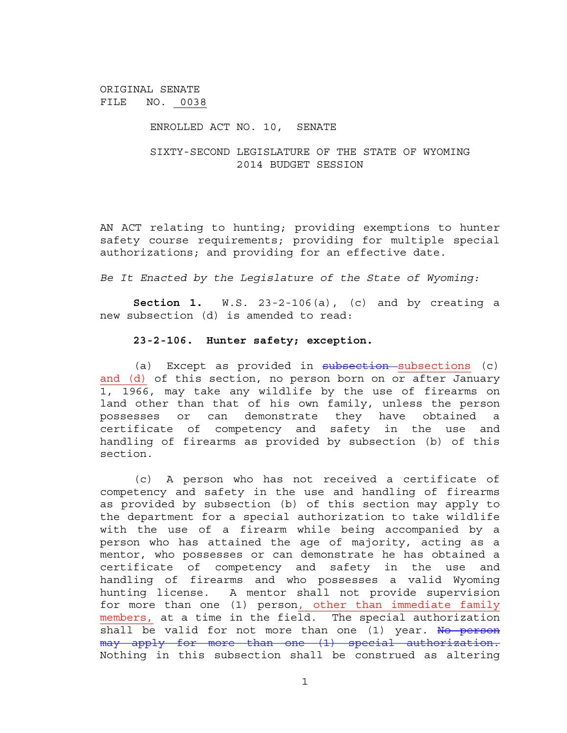ORIGINAL SENATE FILE NO. 0038

## ENROLLED ACT NO. 10, SENATE

## SIXTY-SECOND LEGISLATURE OF THE STATE OF WYOMING 2014 BUDGET SESSION

AN ACT relating to hunting; providing exemptions to hunter safety course requirements; providing for multiple special authorizations; and providing for an effective date.

*Be It Enacted by the Legislature of the State of Wyoming:*

**Section 1.** W.S. 23-2-106(a), (c) and by creating a new subsection (d) is amended to read:

## **23-2-106. Hunter safety; exception.**

(a) Except as provided in subsection subsections (c) and (d) of this section, no person born on or after January 1, 1966, may take any wildlife by the use of firearms on land other than that of his own family, unless the person possesses or can demonstrate they have obtained a certificate of competency and safety in the use and handling of firearms as provided by subsection (b) of this section.

(c) A person who has not received a certificate of competency and safety in the use and handling of firearms as provided by subsection (b) of this section may apply to the department for a special authorization to take wildlife with the use of a firearm while being accompanied by a person who has attained the age of majority, acting as a mentor, who possesses or can demonstrate he has obtained a certificate of competency and safety in the use and handling of firearms and who possesses a valid Wyoming hunting license. A mentor shall not provide supervision for more than one (1) person, other than immediate family members, at a time in the field. The special authorization shall be valid for not more than one (1) year. No person may apply for more than one (1) special authorization. Nothing in this subsection shall be construed as altering